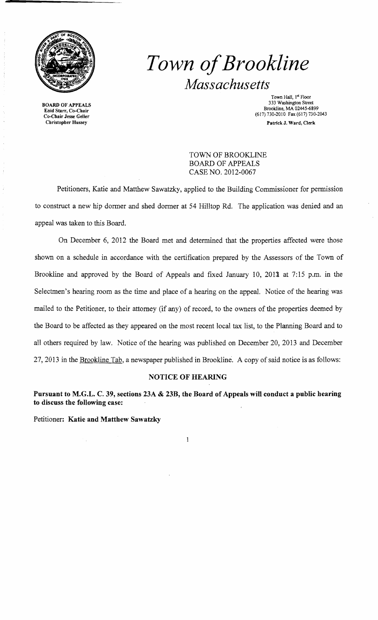

**BOARD** OF APPEALS Enid Starr, Co-Chair Co-Chair Jesse Geller Christopher Hussey

# *Town ofBrookline Massachusetts*

Town Hall, 1st Floor 333 Washington Street Brookline, MA 02445-6899 (617) 730-2010 Fax (617) 730-2043 Patrick J. Ward, Clerk

TOWN OF BROOKLINE BOARD OF APPEALS CASE NO. 2012-0067

Petitioners, Katie and Matthew Sawatzky, applied to the Building Commissioner for permission to construct a new hip dormer and shed dormer at 54 Hilltop Rd. The application was denied and an appeal was taken to this Board.

On December 6, 2012 the Board met and determined that the properties affected were those shown on a schedule in accordance with the certification prepared by the Assessors of the Town of Brookline and approved by the Board of Appeals and fixed January 10, 2013 at 7:15 p.m. in the Selectmen's hearing room as the time and place of a hearing on the appeal. Notice of the hearing was mailed to the Petitioner, to their attorney (if any) of record, to the owners of the properties deemed by the Board to be affected as they appeared on the most recent local tax list, to the Planning Board and to all others required by law. Notice of the hearing was published on December 20,2013 and December 27,2013 in the Brookline Tab, a newspaper published in Brookline. A copy of said notice is as follows:

### **NOTICE OF HEARING**

**Pursuant to M.G.L. C. 39, sections 23A & 23B, the Board of Appeals will conduct a public hearing to discuss the following case:** 

Petitioner: **Katie and Matthew Sawatzky** 

 $\mathbf{1}$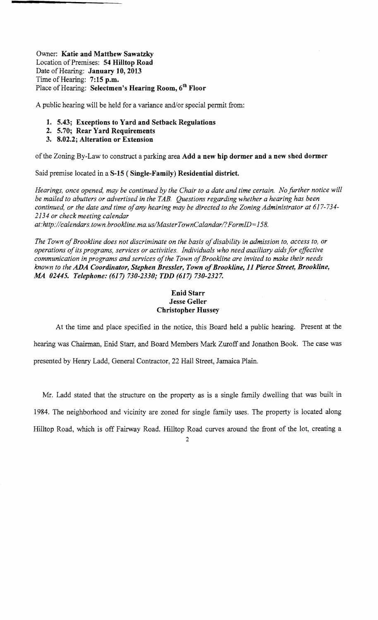Owner: **Katie and Matthew Sawatzky** Location of Premises: **54 Hilltop Road**  Date of Hearing: January 10, 2013 Time of Hearing: **7:15 p.m.** Place of Hearing: **Selectmen's Hearing Room, 6th Floor** 

A public hearing will be held for a variance and/or special permit from:

- **1. 5.43; Exceptions to Yard and Setback Regulations**
- **2. 5.70; Rear Yard Requirements**
- **3. 8.02.2; Alteration or Extension**

ofthe Zoning By-Law to construct a parking area **Add a new hip dormer and a new shed dormer** 

Said premise located in a **S-15 (Single-Family) Residential district.** 

*Hearings, once opened, may be continued by the Chair to a date and time certain. No further notice will be mailed to abutters or advertised in the TAB. Questions regarding whether a hearing has been continued, or the date and time ofany hearing may be directed to the Zoning Administrator at 617-734 2134 or check meeting calendar* 

*at:http://calendars.town.brookline.ma.usIMasterTownCalandarl? FormID= 158.* 

*The Town ofBrookline does not discriminate on the basis ofdisability* in *admission to, access to, or operations ofits programs, services or activities. Individuals who need auxiliary aids for effective*  communication in programs and services of the Town of Brookline are invited to make their needs *known to the ADA Coordinator, Stephen Bressler, Town ofBrookline,* **11** *Pierce Street, Brookline, AU 02445. Telephone:* (617) *730-2330; TDD* (617) *730-2327.* 

#### **Enid Starr Jesse Geller Christopher Hussey**

At the time and place specified in the notice, this Board held a public hearing. Present at the hearing was Chairman, Enid Starr, and Board Members Mark Zuroff and Jonathon Book. The case was presented by Henry Ladd, General Contractor, 22 Hall Street, Jamaica Plain.

Mr. Ladd stated that the structure on the property as is a single family dwelling that was built in 1984. The neighborhood and vicinity are zoned for single family uses. The property is located along Hilltop Road, which is off Fairway Road. Hilltop Road curves around the front of the lot, creating a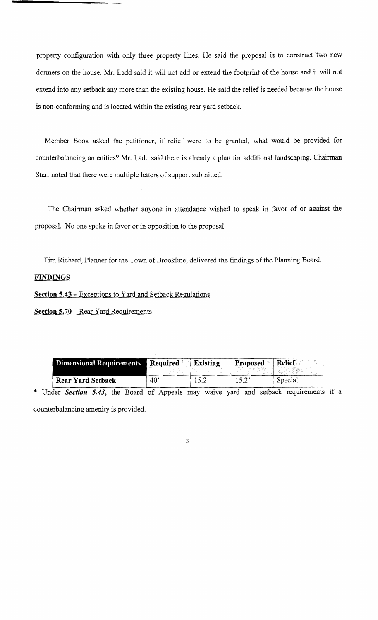property configuration with only three property lines. He said the proposal is to construct two new dormers on the house. Mr. Ladd said it will not add or extend the footprint of the house and it will not extend into any setback any more than the existing house. He said the relief is needed because the house is non-conforming and is located within the existing rear yard setback.

Member Book asked the petitioner, if relief were to be granted, what would be provided for counterbalancing amenities? Mr. Ladd said there is already a plan for additional landscaping. Chairman Starr noted that there were multiple letters of support submitted.

The Chairman asked whether anyone in attendance wished to speak in favor of or against the proposal. No one spoke in favor or in opposition to the proposal.

Tim Richard, Planner for the Town of Brookline, delivered the findings of the Planning Board.

#### **FINDINGS**

**Section 5.43** - Exceptions to Yard and Setback Regulations

**Section 5.70** - Rear Yard Requirements

| <b>Dimensional Requirements</b> | Required Existing | Proposed Relief |         |
|---------------------------------|-------------------|-----------------|---------|
| <b>Rear Yard Setback</b>        | $40^{\circ}$      |                 | Special |

\* Under *Section 5.43*, the Board of Appeals may waive yard and setback requirements if a counterbalancing amenity is provided.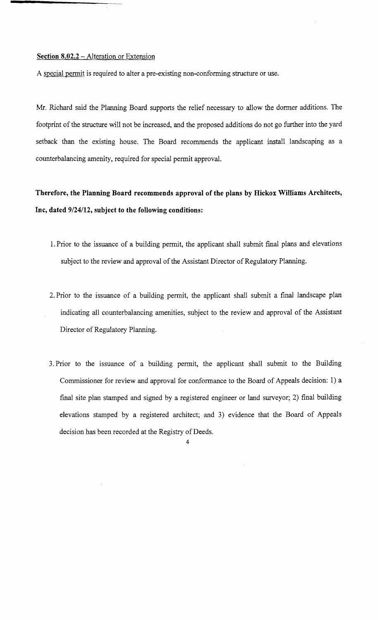#### **Section 8.02.2** - Alteration or Extension

A special pennit is required to alter a pre-existing non-confonning structure or use.

Mr. Richard said the Planning Board supports the relief necessary to allow the donner additions. The footprint of the structure will not be increased, and the proposed additions do not go further into the yard setback than the existing house. The Board recommends the applicant install landscaping as a counterbalancing amenity, required for special pennit approval.

## **Therefore, the Planning Board recommends approval of the plans by Hickox Williams Architects, Inc, dated 9/24/12, subject to the following conditions:**

- 1. Prior to the issuance of a building pennit, the applicant shall submit fmal plans and elevations subject to the review and approval of the Assistant Director of Regulatory Planning.
- 2. Prior to the issuance of a building pennit, the applicant shall submit a final landscape plan indicating all counterbalancing amenities, subject to the review and approval of the Assistant Director of Regulatory Planning.
- 3. Prior to the issuance of a building pennit, the applicant shall submit to the Building Commissioner for review and approval for confonnance to the Board of Appeals decision: 1) a fmal site plan stamped and signed by a registered engineer or land surveyor; 2) final building elevations stamped by a registered architect; and 3) evidence that the Board of Appeals decision has been recorded at the Registry of Deeds.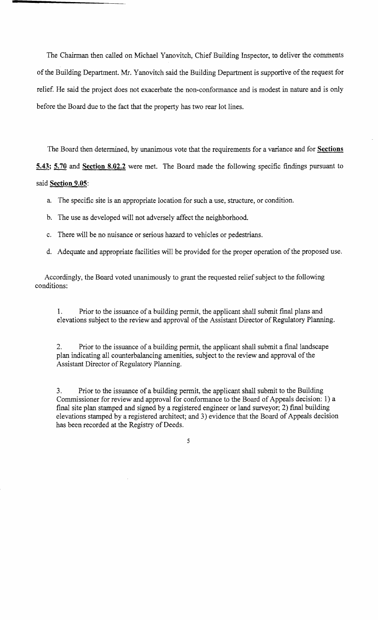The Chairman then called on Michael Yanovitch, Chief Building Inspector, to deliver the comments ofthe Building Department. Mr. Yanovitch said the Building Department is supportive of the request for relief. He said the project does not exacerbate the non-conformance and is modest in nature and is only before the Board due to the fact that the property has two rear lot lines.

The Board then determined, by unanimous vote that the requirements for a variance and for **Sections 5.43; 5.70 and Section 8.02.2** were met. The Board made the following specific findings pursuant to said **Section 9.05:** 

- a. The specific site is an appropriate location for such a use, structure, or condition.
- b. The use as developed will not adversely affect the neighborhood.
- c. There will be no nuisance or serious hazard to vehicles or pedestrians.
- d. Adequate and appropriate facilities will be provided for the proper operation of the proposed use.

Accordingly, the Board voted unanimously to grant the requested relief subject to the following conditions:

1. Prior to the issuance of a building permit, the applicant shall submit final plans and elevations subject to the review and approval of the Assistant Director of Regulatory Planning.

2. Prior to the issuance of a building permit, the applicant shall submit a fmal landscape plan indicating all counterbalancing amenities, subject to the review and approval of the Assistant Director of Regulatory Planning.

3. Prior to the issuance of a building permit, the applicant shall submit to the Building Commissioner for review and approval for conformance to the Board of Appeals decision: 1) a final site plan stamped and signed by a registered engineer or land surveyor; 2) final building elevations stamped by a registered architect; and 3) evidence that the Board of Appeals decision has been recorded at the Registry of Deeds.